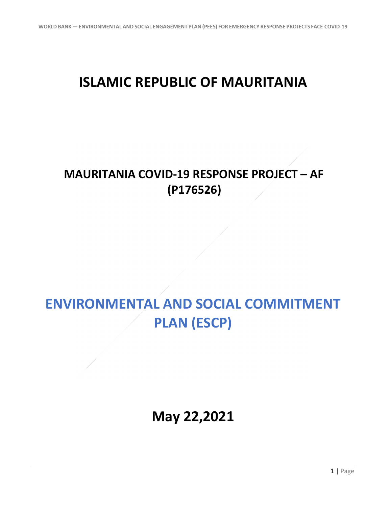## **ISLAMIC REPUBLIC OF MAURITANIA**

## **MAURITANIA COVID-19 RESPONSE PROJECT – AF (P176526)**

## **ENVIRONMENTAL AND SOCIAL COMMITMENT PLAN (ESCP)**

**May 22,2021**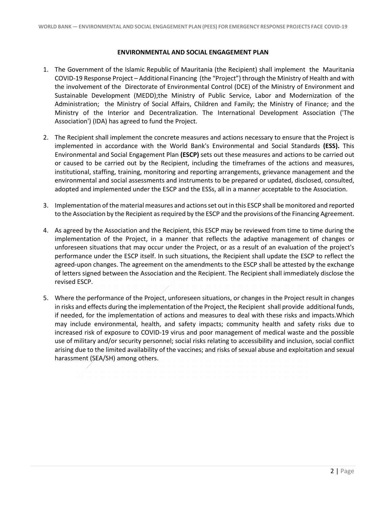## **ENVIRONMENTAL AND SOCIAL ENGAGEMENT PLAN**

- 1. The Government of the Islamic Republic of Mauritania (the Recipient) shall implement the Mauritania COVID-19 Response Project – Additional Financing (the "Project") through the Ministry of Health and with the involvement of the Directorate of Environmental Control (DCE) of the Ministry of Environment and Sustainable Development (MEDD);the Ministry of Public Service, Labor and Modernization of the Administration; the Ministry of Social Affairs, Children and Family; the Ministry of Finance; and the Ministry of the Interior and Decentralization. The International Development Association ('The Association') (IDA) has agreed to fund the Project.
- 2. The Recipient shall implement the concrete measures and actions necessary to ensure that the Project is implemented in accordance with the World Bank's Environmental and Social Standards **(ESS).** This Environmental and Social Engagement Plan **(ESCP)** sets out these measures and actions to be carried out or caused to be carried out by the Recipient, including the timeframes of the actions and measures, institutional, staffing, training, monitoring and reporting arrangements, grievance management and the environmental and social assessments and instruments to be prepared or updated, disclosed, consulted, adopted and implemented under the ESCP and the ESSs, all in a manner acceptable to the Association.
- 3. Implementation of the material measures and actions set out in this ESCP shall be monitored and reported to the Association by the Recipient as required by the ESCP and the provisions of the Financing Agreement.
- 4. As agreed by the Association and the Recipient, this ESCP may be reviewed from time to time during the implementation of the Project, in a manner that reflects the adaptive management of changes or unforeseen situations that may occur under the Project, or as a result of an evaluation of the project's performance under the ESCP itself. In such situations, the Recipient shall update the ESCP to reflect the agreed-upon changes. The agreement on the amendments to the ESCP shall be attested by the exchange of letters signed between the Association and the Recipient. The Recipient shall immediately disclose the revised ESCP.
- 5. Where the performance of the Project, unforeseen situations, or changes in the Project result in changes in risks and effects during the implementation of the Project, the Recipient shall provide additional funds, if needed, for the implementation of actions and measures to deal with these risks and impacts.Which may include environmental, health, and safety impacts; community health and safety risks due to increased risk of exposure to COVID-19 virus and poor management of medical waste and the possible use of military and/or security personnel; social risks relating to accessibility and inclusion, social conflict arising due to the limited availability of the vaccines; and risks of sexual abuse and exploitation and sexual harassment (SEA/SH) among others.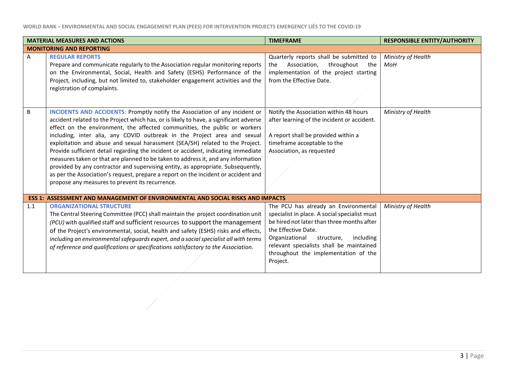**WORLD BANK – ENVIRONMENTAL AND SOCIAL ENGAGEMENT PLAN (PEES) FOR INTERVENTION PROJECTS EMERGENCY LIÉS TO THE COVID-19**

| <b>MATERIAL MEASURES AND ACTIONS</b> |                                                                                                                                                                                                                                                                                                                                                                                                                                                                                                                                                                                                                                                                                                                                                                                                                                 | <b>TIMEFRAME</b>                                                                                                                                                                                                                                                                                        | <b>RESPONSIBLE ENTITY/AUTHORITY</b> |
|--------------------------------------|---------------------------------------------------------------------------------------------------------------------------------------------------------------------------------------------------------------------------------------------------------------------------------------------------------------------------------------------------------------------------------------------------------------------------------------------------------------------------------------------------------------------------------------------------------------------------------------------------------------------------------------------------------------------------------------------------------------------------------------------------------------------------------------------------------------------------------|---------------------------------------------------------------------------------------------------------------------------------------------------------------------------------------------------------------------------------------------------------------------------------------------------------|-------------------------------------|
|                                      | <b>MONITORING AND REPORTING</b>                                                                                                                                                                                                                                                                                                                                                                                                                                                                                                                                                                                                                                                                                                                                                                                                 |                                                                                                                                                                                                                                                                                                         |                                     |
| A                                    | <b>REGULAR REPORTS</b><br>Prepare and communicate regularly to the Association regular monitoring reports<br>on the Environmental, Social, Health and Safety (ESHS) Performance of the<br>Project, including, but not limited to, stakeholder engagement activities and the<br>registration of complaints.                                                                                                                                                                                                                                                                                                                                                                                                                                                                                                                      | Quarterly reports shall be submitted to<br>Association,<br>throughout<br>the<br>the<br>implementation of the project starting<br>from the Effective Date.                                                                                                                                               | Ministry of Health<br><b>MoH</b>    |
| B                                    | <b>INCIDENTS AND ACCIDENTS: Promptly notify the Association of any incident or</b><br>accident related to the Project which has, or is likely to have, a significant adverse<br>effect on the environment, the affected communities, the public or workers<br>including, inter alia, any COVID outbreak in the Project area and sexual<br>exploitation and abuse and sexual harassment (SEA/SH) related to the Project.<br>Provide sufficient detail regarding the incident or accident, indicating immediate<br>measures taken or that are planned to be taken to address it, and any information<br>provided by any contractor and supervising entity, as appropriate. Subsequently,<br>as per the Association's request, prepare a report on the incident or accident and<br>propose any measures to prevent its recurrence. | Notify the Association within 48 hours<br>after learning of the incident or accident.<br>A report shall be provided within a<br>timeframe acceptable to the<br>Association, as requested                                                                                                                | Ministry of Health                  |
|                                      | <b>ESS 1: ASSESSMENT AND MANAGEMENT OF ENVIRONMENTAL AND SOCIAL RISKS AND IMPACTS</b>                                                                                                                                                                                                                                                                                                                                                                                                                                                                                                                                                                                                                                                                                                                                           |                                                                                                                                                                                                                                                                                                         |                                     |
| 1.1                                  | <b>ORGANIZATIONAL STRUCTURE</b><br>The Central Steering Committee (PCC) shall maintain the project coordination unit<br>(PCU) with qualified staff and sufficient resources to support the management<br>of the Project's environmental, social, health and safety (ESHS) risks and effects,<br>including an environmental safeguards expert, and a social specialist all with terms<br>of reference and qualifications or specifications satisfactory to the Association.                                                                                                                                                                                                                                                                                                                                                      | The PCU has already an Environmental<br>specialist in place. A social specialist must<br>be hired not later than three months after<br>the Effective Date.<br>Organizational<br>structure,<br>including<br>relevant specialists shall be maintained<br>throughout the implementation of the<br>Project. | Ministry of Health                  |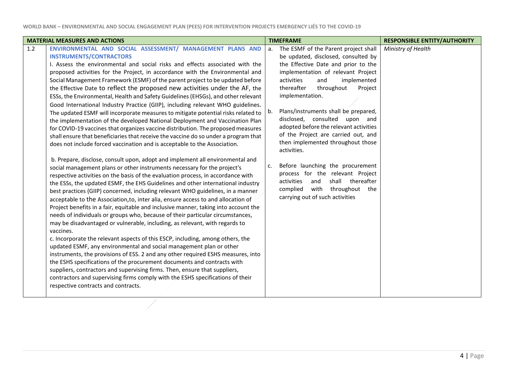| Ministry of Health<br>ENVIRONMENTAL AND SOCIAL ASSESSMENT/ MANAGEMENT PLANS AND<br>The ESMF of the Parent project shall<br>a.<br><b>INSTRUMENTS/CONTRACTORS</b><br>be updated, disclosed, consulted by<br>the Effective Date and prior to the<br>I. Assess the environmental and social risks and effects associated with the<br>proposed activities for the Project, in accordance with the Environmental and<br>implementation of relevant Project<br>Social Management Framework (ESMF) of the parent project to be updated before<br>activities<br>and<br>implemented<br>thereafter<br>Project<br>the Effective Date to reflect the proposed new activities under the AF, the<br>throughout<br>implementation.<br>ESSs, the Environmental, Health and Safety Guidelines (EHSGs), and other relevant<br>Good International Industry Practice (GIIP), including relevant WHO guidelines.<br>Plans/instruments shall be prepared,<br>b.<br>The updated ESMF will incorporate measures to mitigate potential risks related to<br>disclosed, consulted upon and<br>the implementation of the developed National Deployment and Vaccination Plan<br>adopted before the relevant activities<br>for COVID-19 vaccines that organizes vaccine distribution. The proposed measures<br>of the Project are carried out, and<br>shall ensure that beneficiaries that receive the vaccine do so under a program that<br>then implemented throughout those<br>does not include forced vaccination and is acceptable to the Association.<br>activities.<br>b. Prepare, disclose, consult upon, adopt and implement all environmental and<br>Before launching the procurement<br>c.<br>social management plans or other instruments necessary for the project's<br>process for the relevant Project<br>respective activities on the basis of the evaluation process, in accordance with<br>shall<br>thereafter<br>activities<br>and<br>the ESSs, the updated ESMF, the EHS Guidelines and other international industry<br>complied<br>with throughout the<br>best practices (GIIP) concerned, including relevant WHO guidelines, in a manner<br>carrying out of such activities<br>acceptable to the Association, to, inter alia, ensure access to and allocation of<br>Project benefits in a fair, equitable and inclusive manner, taking into account the<br>needs of individuals or groups who, because of their particular circumstances,<br>may be disadvantaged or vulnerable, including, as relevant, with regards to<br>vaccines.<br>c. Incorporate the relevant aspects of this ESCP, including, among others, the<br>updated ESMF, any environmental and social management plan or other<br>instruments, the provisions of ESS. 2 and any other required ESHS measures, into<br>the ESHS specifications of the procurement documents and contracts with<br>suppliers, contractors and supervising firms. Then, ensure that suppliers,<br>contractors and supervising firms comply with the ESHS specifications of their<br>respective contracts and contracts. | <b>MATERIAL MEASURES AND ACTIONS</b> |  | <b>TIMEFRAME</b> | <b>RESPONSIBLE ENTITY/AUTHORITY</b> |
|-------------------------------------------------------------------------------------------------------------------------------------------------------------------------------------------------------------------------------------------------------------------------------------------------------------------------------------------------------------------------------------------------------------------------------------------------------------------------------------------------------------------------------------------------------------------------------------------------------------------------------------------------------------------------------------------------------------------------------------------------------------------------------------------------------------------------------------------------------------------------------------------------------------------------------------------------------------------------------------------------------------------------------------------------------------------------------------------------------------------------------------------------------------------------------------------------------------------------------------------------------------------------------------------------------------------------------------------------------------------------------------------------------------------------------------------------------------------------------------------------------------------------------------------------------------------------------------------------------------------------------------------------------------------------------------------------------------------------------------------------------------------------------------------------------------------------------------------------------------------------------------------------------------------------------------------------------------------------------------------------------------------------------------------------------------------------------------------------------------------------------------------------------------------------------------------------------------------------------------------------------------------------------------------------------------------------------------------------------------------------------------------------------------------------------------------------------------------------------------------------------------------------------------------------------------------------------------------------------------------------------------------------------------------------------------------------------------------------------------------------------------------------------------------------------------------------------------------------------------------------------------------------------------------------------------------------------------------------------------------------------------------------------------------------------------|--------------------------------------|--|------------------|-------------------------------------|
|                                                                                                                                                                                                                                                                                                                                                                                                                                                                                                                                                                                                                                                                                                                                                                                                                                                                                                                                                                                                                                                                                                                                                                                                                                                                                                                                                                                                                                                                                                                                                                                                                                                                                                                                                                                                                                                                                                                                                                                                                                                                                                                                                                                                                                                                                                                                                                                                                                                                                                                                                                                                                                                                                                                                                                                                                                                                                                                                                                                                                                                             | 1.2                                  |  |                  |                                     |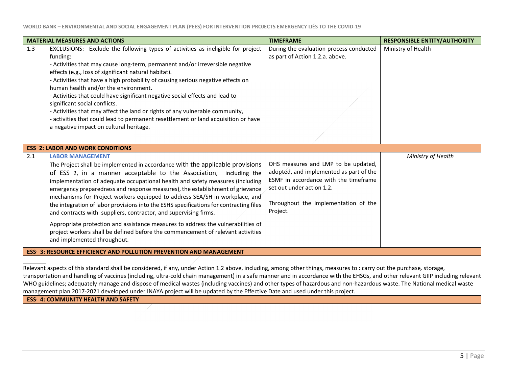|                                                                            | <b>MATERIAL MEASURES AND ACTIONS</b>                                                                                                                                                                                                                                                                                                                                                                                                                                                                                                                                                                                                                                                                                                                                                                | <b>TIMEFRAME</b>                                                                                                                                                                                         | <b>RESPONSIBLE ENTITY/AUTHORITY</b> |
|----------------------------------------------------------------------------|-----------------------------------------------------------------------------------------------------------------------------------------------------------------------------------------------------------------------------------------------------------------------------------------------------------------------------------------------------------------------------------------------------------------------------------------------------------------------------------------------------------------------------------------------------------------------------------------------------------------------------------------------------------------------------------------------------------------------------------------------------------------------------------------------------|----------------------------------------------------------------------------------------------------------------------------------------------------------------------------------------------------------|-------------------------------------|
| 1.3                                                                        | EXCLUSIONS: Exclude the following types of activities as ineligible for project<br>funding:<br>- Activities that may cause long-term, permanent and/or irreversible negative<br>effects (e.g., loss of significant natural habitat).<br>- Activities that have a high probability of causing serious negative effects on<br>human health and/or the environment.<br>- Activities that could have significant negative social effects and lead to<br>significant social conflicts.<br>- Activities that may affect the land or rights of any vulnerable community,<br>- activities that could lead to permanent resettlement or land acquisition or have<br>a negative impact on cultural heritage.                                                                                                  | During the evaluation process conducted<br>as part of Action 1.2.a. above.                                                                                                                               | Ministry of Health                  |
|                                                                            | <b>ESS 2: LABOR AND WORK CONDITIONS</b>                                                                                                                                                                                                                                                                                                                                                                                                                                                                                                                                                                                                                                                                                                                                                             |                                                                                                                                                                                                          |                                     |
| 2.1                                                                        | <b>LABOR MANAGEMENT</b><br>The Project shall be implemented in accordance with the applicable provisions<br>of ESS 2, in a manner acceptable to the Association, including the<br>implementation of adequate occupational health and safety measures (including<br>emergency preparedness and response measures), the establishment of grievance<br>mechanisms for Project workers equipped to address SEA/SH in workplace, and<br>the integration of labor provisions into the ESHS specifications for contracting files<br>and contracts with suppliers, contractor, and supervising firms.<br>Appropriate protection and assistance measures to address the vulnerabilities of<br>project workers shall be defined before the commencement of relevant activities<br>and implemented throughout. | OHS measures and LMP to be updated,<br>adopted, and implemented as part of the<br>ESMF in accordance with the timeframe<br>set out under action 1.2.<br>Throughout the implementation of the<br>Project. | Ministry of Health                  |
| <b>ESS: 3: RESOURCE EFFICIENCY AND POLLUTION PREVENTION AND MANAGEMENT</b> |                                                                                                                                                                                                                                                                                                                                                                                                                                                                                                                                                                                                                                                                                                                                                                                                     |                                                                                                                                                                                                          |                                     |

Relevant aspects of this standard shall be considered, if any, under Action 1.2 above, including, among other things, measures to : carry out the purchase*,* storage, transportation and handling of vaccines (including, ultra-cold chain management) in a safe manner and in accordance with the EHSGs, and other relevant GIIP including relevant WHO guidelines; adequately manage and dispose of medical wastes (including vaccines) and other types of hazardous and non-hazardous waste. The National medical waste management plan 2017-2021 developed under INAYA project will be updated by the Effective Date and used under this project.

**ESS. 4: COMMUNITY HEALTH AND SAFETY**

- 1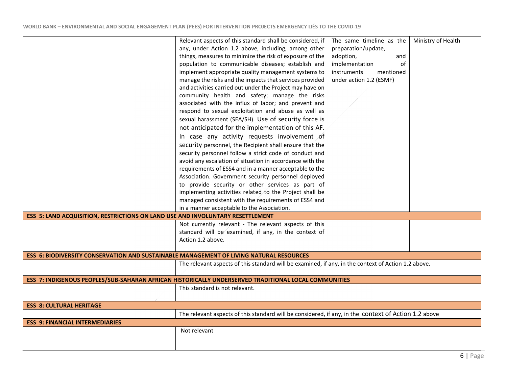|                                                                                         | Relevant aspects of this standard shall be considered, if                                            | The same timeline as the | Ministry of Health |  |
|-----------------------------------------------------------------------------------------|------------------------------------------------------------------------------------------------------|--------------------------|--------------------|--|
|                                                                                         | any, under Action 1.2 above, including, among other                                                  | preparation/update,      |                    |  |
|                                                                                         | things, measures to minimize the risk of exposure of the                                             | adoption,<br>and         |                    |  |
|                                                                                         | population to communicable diseases; establish and                                                   | of<br>implementation     |                    |  |
|                                                                                         | implement appropriate quality management systems to                                                  | instruments<br>mentioned |                    |  |
|                                                                                         | manage the risks and the impacts that services provided                                              | under action 1.2 (ESMF)  |                    |  |
|                                                                                         | and activities carried out under the Project may have on                                             |                          |                    |  |
|                                                                                         | community health and safety; manage the risks                                                        |                          |                    |  |
|                                                                                         | associated with the influx of labor; and prevent and                                                 |                          |                    |  |
|                                                                                         | respond to sexual exploitation and abuse as well as                                                  |                          |                    |  |
|                                                                                         | sexual harassment (SEA/SH). Use of security force is                                                 |                          |                    |  |
|                                                                                         | not anticipated for the implementation of this AF.                                                   |                          |                    |  |
|                                                                                         | In case any activity requests involvement of                                                         |                          |                    |  |
|                                                                                         | security personnel, the Recipient shall ensure that the                                              |                          |                    |  |
|                                                                                         | security personnel follow a strict code of conduct and                                               |                          |                    |  |
|                                                                                         | avoid any escalation of situation in accordance with the                                             |                          |                    |  |
|                                                                                         | requirements of ESS4 and in a manner acceptable to the                                               |                          |                    |  |
|                                                                                         | Association. Government security personnel deployed                                                  |                          |                    |  |
|                                                                                         | to provide security or other services as part of                                                     |                          |                    |  |
|                                                                                         | implementing activities related to the Project shall be                                              |                          |                    |  |
|                                                                                         | managed consistent with the requirements of ESS4 and                                                 |                          |                    |  |
|                                                                                         | in a manner acceptable to the Association.                                                           |                          |                    |  |
| ESS 5: LAND ACQUISITION, RESTRICTIONS ON LAND USE AND INVOLUNTARY RESETTLEMENT          |                                                                                                      |                          |                    |  |
|                                                                                         | Not currently relevant - The relevant aspects of this                                                |                          |                    |  |
|                                                                                         | standard will be examined, if any, in the context of                                                 |                          |                    |  |
|                                                                                         | Action 1.2 above.                                                                                    |                          |                    |  |
|                                                                                         |                                                                                                      |                          |                    |  |
| ESS 6: BIODIVERSITY CONSERVATION AND SUSTAINABLE MANAGEMENT OF LIVING NATURAL RESOURCES |                                                                                                      |                          |                    |  |
|                                                                                         | The relevant aspects of this standard will be examined, if any, in the context of Action 1.2 above.  |                          |                    |  |
|                                                                                         |                                                                                                      |                          |                    |  |
|                                                                                         | ESS 7: INDIGENOUS PEOPLES/SUB-SAHARAN AFRICAN HISTORICALLY UNDERSERVED TRADITIONAL LOCAL COMMUNITIES |                          |                    |  |
|                                                                                         | This standard is not relevant.                                                                       |                          |                    |  |
|                                                                                         |                                                                                                      |                          |                    |  |
| <b>ESS 8: CULTURAL HERITAGE</b>                                                         |                                                                                                      |                          |                    |  |
|                                                                                         | The relevant aspects of this standard will be considered, if any, in the context of Action 1.2 above |                          |                    |  |
| <b>ESS 9: FINANCIAL INTERMEDIARIES</b>                                                  |                                                                                                      |                          |                    |  |
|                                                                                         | Not relevant                                                                                         |                          |                    |  |
|                                                                                         |                                                                                                      |                          |                    |  |
|                                                                                         |                                                                                                      |                          |                    |  |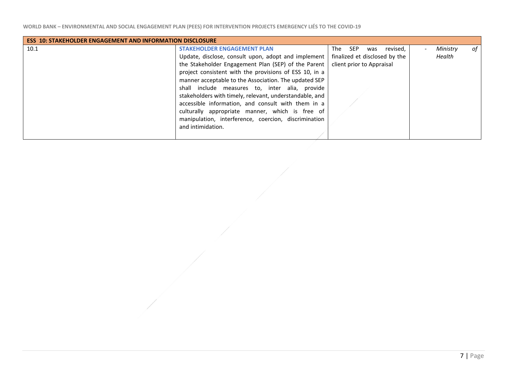| <b>ESS 10: STAKEHOLDER ENGAGEMENT AND INFORMATION DISCLOSURE</b> |                                                         |                                      |                |  |  |
|------------------------------------------------------------------|---------------------------------------------------------|--------------------------------------|----------------|--|--|
| 10.1                                                             | <b>STAKEHOLDER ENGAGEMENT PLAN</b>                      | The<br><b>SEP</b><br>revised,<br>was | Ministry<br>of |  |  |
|                                                                  | Update, disclose, consult upon, adopt and implement     | finalized et disclosed by the        | Health         |  |  |
|                                                                  | the Stakeholder Engagement Plan (SEP) of the Parent     | client prior to Appraisal            |                |  |  |
|                                                                  | project consistent with the provisions of ESS 10, in a  |                                      |                |  |  |
|                                                                  | manner acceptable to the Association. The updated SEP   |                                      |                |  |  |
|                                                                  | shall include measures to, inter alia, provide          |                                      |                |  |  |
|                                                                  | stakeholders with timely, relevant, understandable, and |                                      |                |  |  |
|                                                                  | accessible information, and consult with them in a      |                                      |                |  |  |
|                                                                  | culturally appropriate manner, which is free of         |                                      |                |  |  |
|                                                                  | manipulation, interference, coercion, discrimination    |                                      |                |  |  |
|                                                                  | and intimidation.                                       |                                      |                |  |  |
|                                                                  |                                                         |                                      |                |  |  |